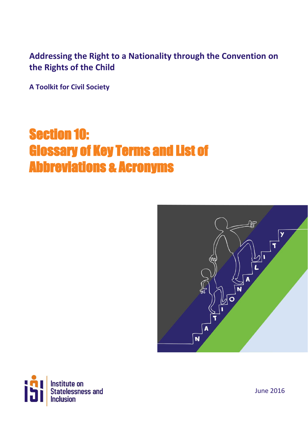### **Addressing the Right to a Nationality through the Convention on the Rights of the Child**

**A Toolkit for Civil Society**

## Section 10: Glossary of Key Terms and List of Abbreviations & Acronyms





June 2016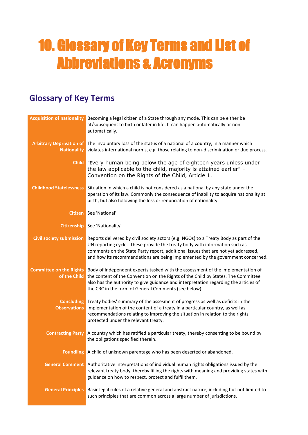# 10. Glossary of Key Terms and List of Abbreviations & Acronyms

### **Glossary of Key Terms**

| <b>Acquisition of nationality</b>                     | Becoming a legal citizen of a State through any mode. This can be either be<br>at/subsequent to birth or later in life. It can happen automatically or non-<br>automatically.                                                                                                                                                                       |
|-------------------------------------------------------|-----------------------------------------------------------------------------------------------------------------------------------------------------------------------------------------------------------------------------------------------------------------------------------------------------------------------------------------------------|
| <b>Arbitrary Deprivation of</b><br><b>Nationality</b> | The involuntary loss of the status of a national of a country, in a manner which<br>violates international norms, e.g. those relating to non-discrimination or due process.                                                                                                                                                                         |
|                                                       | <b>Child</b> "Every human being below the age of eighteen years unless under<br>the law applicable to the child, majority is attained earlier" -<br>Convention on the Rights of the Child, Article 1.                                                                                                                                               |
| <b>Childhood Statelessness</b>                        | Situation in which a child is not considered as a national by any state under the<br>operation of its law. Commonly the consequence of inability to acquire nationality at<br>birth, but also following the loss or renunciation of nationality.                                                                                                    |
|                                                       | <b>Citizen</b> See 'National'                                                                                                                                                                                                                                                                                                                       |
|                                                       | Citizenship See 'Nationality'                                                                                                                                                                                                                                                                                                                       |
| <b>Civil society submission</b>                       | Reports delivered by civil society actors (e.g. NGOs) to a Treaty Body as part of the<br>UN reporting cycle. These provide the treaty body with information such as<br>comments on the State Party report, additional issues that are not yet addressed,<br>and how its recommendations are being implemented by the government concerned.          |
| of the Child                                          | <b>Committee on the Rights</b> Body of independent experts tasked with the assessment of the implementation of<br>the content of the Convention on the Rights of the Child by States. The Committee<br>also has the authority to give guidance and interpretation regarding the articles of<br>the CRC in the form of General Comments (see below). |
| <b>Observations</b>                                   | <b>Concluding</b> Treaty bodies' summary of the assesment of progress as well as deficits in the<br>implementation of the content of a treaty in a particular country, as well as<br>recommendations relating to improving the situation in relation to the rights<br>protected under the relevant treaty.                                          |
| <b>Contracting Party</b>                              | A country which has ratified a particular treaty, thereby consenting to be bound by<br>the obligations specified therein.                                                                                                                                                                                                                           |
|                                                       | Foundling A child of unknown parentage who has been deserted or abandoned.                                                                                                                                                                                                                                                                          |
|                                                       | General Comment Authoritative interpretations of individual human rights obligations issued by the<br>relevant treaty body, thereby filling the rights with meaning and providing states with<br>guidance on how to respect, protect and fulfil them.                                                                                               |
|                                                       | General Principles Basic legal rules of a relative general and abstract nature, including but not limited to<br>such principles that are common across a large number of jurisdictions.                                                                                                                                                             |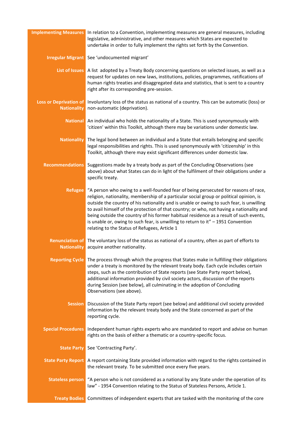| <b>Implementing Measures</b>                        | In relation to a Convention, implementing measures are general measures, including<br>legislative, administrative, and other measures which States are expected to<br>undertake in order to fully implement the rights set forth by the Convention.                                                                                                                                                                                                                                                                                                                                                    |
|-----------------------------------------------------|--------------------------------------------------------------------------------------------------------------------------------------------------------------------------------------------------------------------------------------------------------------------------------------------------------------------------------------------------------------------------------------------------------------------------------------------------------------------------------------------------------------------------------------------------------------------------------------------------------|
|                                                     | <b>Irregular Migrant</b> See 'undocumented migrant'                                                                                                                                                                                                                                                                                                                                                                                                                                                                                                                                                    |
|                                                     | List of Issues A list adopted by a Treaty Body concerning questions on selected issues, as well as a<br>request for updates on new laws, institutions, policies, programmes, ratifications of<br>human rights treaties and disaggregated data and statistics, that is sent to a country<br>right after its corresponding pre-session.                                                                                                                                                                                                                                                                  |
| <b>Loss or Deprivation of</b><br><b>Nationality</b> | Involuntary loss of the status as national of a country. This can be automatic (loss) or<br>non-automatic (deprivation).                                                                                                                                                                                                                                                                                                                                                                                                                                                                               |
| <b>National</b>                                     | An individual who holds the nationality of a State. This is used synonymously with<br>'citizen' within this Toolkit, although there may be variations under domestic law.                                                                                                                                                                                                                                                                                                                                                                                                                              |
| <b>Nationality</b>                                  | The legal bond between an individual and a State that entails belonging and specific<br>legal responsibilities and rights. This is used synonymously with 'citizenship' in this<br>Toolkit, although there may exist significant differences under domestic law.                                                                                                                                                                                                                                                                                                                                       |
| <b>Recommendations</b>                              | Suggestions made by a treaty body as part of the Concluding Observations (see<br>above) about what States can do in light of the fulfilment of their obligations under a<br>specific treaty.                                                                                                                                                                                                                                                                                                                                                                                                           |
| <b>Refugee</b>                                      | "A person who owing to a well-founded fear of being persecuted for reasons of race,<br>religion, nationality, membership of a particular social group or political opinion, is<br>outside the country of his nationality and is unable or owing to such fear, is unwilling<br>to avail himself of the protection of that country; or who, not having a nationality and<br>being outside the country of his former habitual residence as a result of such events,<br>is unable or, owing to such fear, is unwilling to return to it" - 1951 Convention<br>relating to the Status of Refugees, Article 1 |
| <b>Renunciation of</b><br><b>Nationality</b>        | The voluntary loss of the status as national of a country, often as part of efforts to<br>acquire another nationality.                                                                                                                                                                                                                                                                                                                                                                                                                                                                                 |
|                                                     | Reporting Cycle The process through which the progress that States make in fulfilling their obligations<br>under a treaty is monitored by the relevant treaty body. Each cycle includes certain<br>steps, such as the contribution of State reports (see State Party report below),<br>additional information provided by civil society actors, discussion of the reports<br>during Session (see below), all culminating in the adoption of Concluding<br>Observations (see above).                                                                                                                    |
| <b>Session</b>                                      | Discussion of the State Party report (see below) and additional civil society provided<br>information by the relevant treaty body and the State concerned as part of the<br>reporting cycle.                                                                                                                                                                                                                                                                                                                                                                                                           |
| <b>Special Procedures</b>                           | Independent human rights experts who are mandated to report and advise on human<br>rights on the basis of either a thematic or a country-specific focus.                                                                                                                                                                                                                                                                                                                                                                                                                                               |
| <b>State Party</b>                                  | See 'Contracting Party'.                                                                                                                                                                                                                                                                                                                                                                                                                                                                                                                                                                               |
| <b>State Party Report</b>                           | A report containing State provided information with regard to the rights contained in<br>the relevant treaty. To be submitted once every five years.                                                                                                                                                                                                                                                                                                                                                                                                                                                   |
| <b>Stateless person</b>                             | "A person who is not considered as a national by any State under the operation of its<br>law" - 1954 Convention relating to the Status of Stateless Persons, Article 1.                                                                                                                                                                                                                                                                                                                                                                                                                                |
| <b>Treaty Bodies</b>                                | Committees of independent experts that are tasked with the monitoring of the core                                                                                                                                                                                                                                                                                                                                                                                                                                                                                                                      |